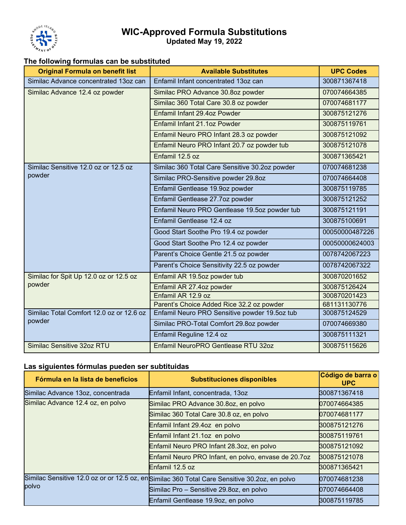

## **WIC-Approved Formula Substitutions Updated May 19, 2022**

## **The following formulas can be substituted**

| <b>Original Formula on benefit list</b>            | <b>Available Substitutes</b>                   | <b>UPC Codes</b> |
|----------------------------------------------------|------------------------------------------------|------------------|
| Similac Advance concentrated 13oz can              | Enfamil Infant concentrated 13oz can           | 300871367418     |
| Similac Advance 12.4 oz powder                     | Similac PRO Advance 30.8oz powder              | 070074664385     |
|                                                    | Similac 360 Total Care 30.8 oz powder          | 070074681177     |
|                                                    | Enfamil Infant 29.4oz Powder                   | 300875121276     |
|                                                    | Enfamil Infant 21.1oz Powder                   | 300875119761     |
|                                                    | Enfamil Neuro PRO Infant 28.3 oz powder        | 300875121092     |
|                                                    | Enfamil Neuro PRO Infant 20.7 oz powder tub    | 300875121078     |
|                                                    | Enfamil 12.5 oz                                | 300871365421     |
| Similac Sensitive 12.0 oz or 12.5 oz<br>powder     | Similac 360 Total Care Sensitive 30.2oz powder | 070074681238     |
|                                                    | Similac PRO-Sensitive powder 29.8oz            | 070074664408     |
|                                                    | Enfamil Gentlease 19.9oz powder                | 300875119785     |
|                                                    | Enfamil Gentlease 27.7oz powder                | 300875121252     |
|                                                    | Enfamil Neuro PRO Gentlease 19.5oz powder tub  | 300875121191     |
|                                                    | Enfamil Gentlease 12.4 oz                      | 300875100691     |
|                                                    | Good Start Soothe Pro 19.4 oz powder           | 00050000487226   |
|                                                    | Good Start Soothe Pro 12.4 oz powder           | 00050000624003   |
|                                                    | Parent's Choice Gentle 21.5 oz powder          | 0078742067223    |
|                                                    | Parent's Choice Sensitivity 22.5 oz powder     | 0078742067322    |
| Similac for Spit Up 12.0 oz or 12.5 oz<br>powder   | Enfamil AR 19.5oz powder tub                   | 300870201652     |
|                                                    | Enfamil AR 27.4oz powder                       | 300875126424     |
|                                                    | Enfamil AR 12.9 oz                             | 300870201423     |
|                                                    | Parent's Choice Added Rice 32.2 oz powder      | 681131130776     |
| Similac Total Comfort 12.0 oz or 12.6 oz<br>powder | Enfamil Neuro PRO Sensitive powder 19.5oz tub  | 300875124529     |
|                                                    | Similac PRO-Total Comfort 29.8oz powder        | 070074669380     |
|                                                    | Enfamil Reguline 12.4 oz                       | 300875111321     |
| Similac Sensitive 32oz RTU                         | Enfamil NeuroPRO Gentlease RTU 32oz            | 300875115626     |

## **Las siguientes fórmulas pueden ser subtituidas**

| Fórmula en la lista de beneficios | <b>Substituciones disponibles</b>                                                             | Código de barra o<br><b>UPC</b> |
|-----------------------------------|-----------------------------------------------------------------------------------------------|---------------------------------|
| Similac Advance 13oz, concentrada | Enfamil Infant, concentrada, 13oz                                                             | 300871367418                    |
| Similac Advance 12.4 oz, en polvo | Similac PRO Advance 30.8oz, en polvo                                                          | 070074664385                    |
|                                   | Similac 360 Total Care 30.8 oz, en polvo                                                      | 070074681177                    |
|                                   | Enfamil Infant 29.4oz en polvo                                                                | 300875121276                    |
|                                   | Enfamil Infant 21.1oz en polvo                                                                | 300875119761                    |
|                                   | Enfamil Neuro PRO Infant 28.3oz, en polvo                                                     | 300875121092                    |
|                                   | Enfamil Neuro PRO Infant, en polvo, envase de 20.7oz                                          | 300875121078                    |
|                                   | Enfamil 12.5 oz                                                                               | 300871365421                    |
| polvo                             | Similac Sensitive 12.0 oz or or 12.5 oz, en Similac 360 Total Care Sensitive 30.2oz, en polvo | 070074681238                    |
|                                   | Similac Pro - Sensitive 29.8oz, en polvo                                                      | 070074664408                    |
|                                   | Enfamil Gentlease 19.9oz, en polvo                                                            | 300875119785                    |